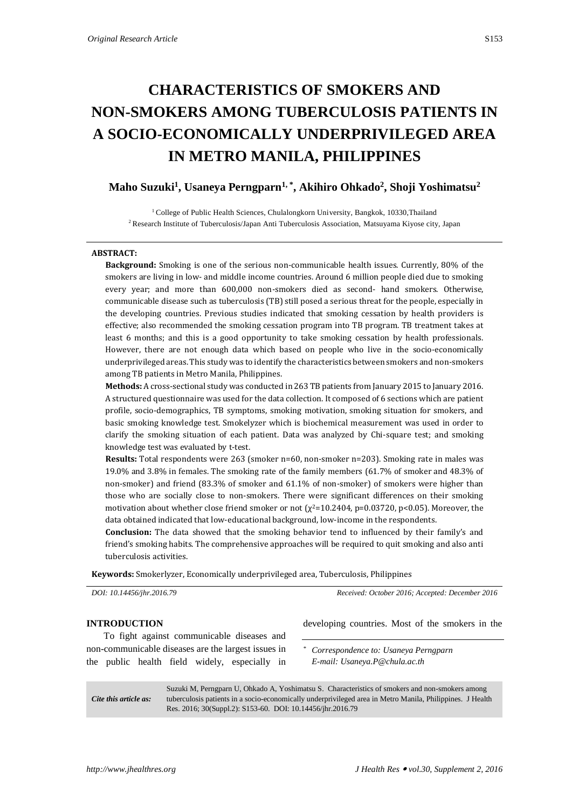# **CHARACTERISTICS OF SMOKERS AND NON-SMOKERS AMONG TUBERCULOSIS PATIENTS IN A SOCIO-ECONOMICALLY UNDERPRIVILEGED AREA IN METRO MANILA, PHILIPPINES**

# **Maho Suzuki<sup>1</sup> , Usaneya Perngparn1, \* , Akihiro Ohkado<sup>2</sup> , Shoji Yoshimatsu<sup>2</sup>**

<sup>1</sup> College of Public Health Sciences, Chulalongkorn University, Bangkok, 10330, Thailand <sup>2</sup> Research Institute of Tuberculosis/Japan Anti Tuberculosis Association, Matsuyama Kiyose city, Japan

#### **ABSTRACT:**

**Background:** Smoking is one of the serious non-communicable health issues. Currently, 80% of the smokers are living in low- and middle income countries. Around 6 million people died due to smoking every year; and more than 600,000 non-smokers died as second- hand smokers. Otherwise, communicable disease such as tuberculosis (TB) still posed a serious threat for the people, especially in the developing countries. Previous studies indicated that smoking cessation by health providers is effective; also recommended the smoking cessation program into TB program. TB treatment takes at least 6 months; and this is a good opportunity to take smoking cessation by health professionals. However, there are not enough data which based on people who live in the socio-economically underprivileged areas. This study was to identify the characteristics between smokers and non-smokers among TB patients in Metro Manila, Philippines.

**Methods:** A cross-sectional study was conducted in 263 TB patients from January 2015 to January 2016. A structured questionnaire was used for the data collection. It composed of 6 sections which are patient profile, socio-demographics, TB symptoms, smoking motivation, smoking situation for smokers, and basic smoking knowledge test. Smokelyzer which is biochemical measurement was used in order to clarify the smoking situation of each patient. Data was analyzed by Chi-square test; and smoking knowledge test was evaluated by t-test.

**Results:** Total respondents were 263 (smoker n=60, non-smoker n=203). Smoking rate in males was 19.0% and 3.8% in females. The smoking rate of the family members (61.7% of smoker and 48.3% of non-smoker) and friend (83.3% of smoker and 61.1% of non-smoker) of smokers were higher than those who are socially close to non-smokers. There were significant differences on their smoking motivation about whether close friend smoker or not  $(\chi^2=10.2404, p=0.03720, p<0.05)$ . Moreover, the data obtained indicated that low-educational background, low-income in the respondents.

**Conclusion:** The data showed that the smoking behavior tend to influenced by their family's and friend's smoking habits. The comprehensive approaches will be required to quit smoking and also anti tuberculosis activities.

**Keywords:** Smokerlyzer, Economically underprivileged area, Tuberculosis, Philippines

*DOI: 10.14456/jhr.2016.79 Received: October 2016; Accepted: December 2016*

## **INTRODUCTION** To fight against communicable diseases and non-communicable diseases are the largest issues in the public health field widely, especially in developing countries. Most of the smokers in the *\* Correspondence to: Usaneya Perngparn E-mail: Usaneya.P@chula.ac.th*

*Cite this article as:* Suzuki M, Perngparn U, Ohkado A, Yoshimatsu S. Characteristics of smokers and non-smokers among tuberculosis patients in a socio-economically underprivileged area in Metro Manila, Philippines. J Health Res. 2016; 30(Suppl.2): S153-60. DOI: 10.14456/jhr.2016.79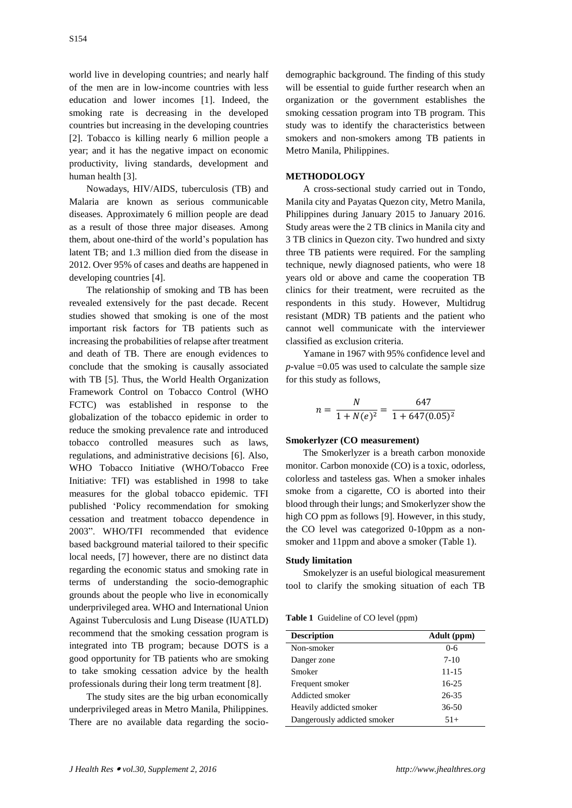world live in developing countries; and nearly half of the men are in low-income countries with less education and lower incomes [1]. Indeed, the smoking rate is decreasing in the developed countries but increasing in the developing countries [2]. Tobacco is killing nearly 6 million people a year; and it has the negative impact on economic productivity, living standards, development and human health [3].

Nowadays, HIV/AIDS, tuberculosis (TB) and Malaria are known as serious communicable diseases. Approximately 6 million people are dead as a result of those three major diseases. Among them, about one-third of the world's population has latent TB; and 1.3 million died from the disease in 2012. Over 95% of cases and deaths are happened in developing countries [4].

The relationship of smoking and TB has been revealed extensively for the past decade. Recent studies showed that smoking is one of the most important risk factors for TB patients such as increasing the probabilities of relapse after treatment and death of TB. There are enough evidences to conclude that the smoking is causally associated with TB [5]. Thus, the World Health Organization Framework Control on Tobacco Control (WHO FCTC) was established in response to the globalization of the tobacco epidemic in order to reduce the smoking prevalence rate and introduced tobacco controlled measures such as laws, regulations, and administrative decisions [6]. Also, WHO Tobacco Initiative (WHO/Tobacco Free Initiative: TFI) was established in 1998 to take measures for the global tobacco epidemic. TFI published 'Policy recommendation for smoking cessation and treatment tobacco dependence in 2003". WHO/TFI recommended that evidence based background material tailored to their specific local needs, [7] however, there are no distinct data regarding the economic status and smoking rate in terms of understanding the socio-demographic grounds about the people who live in economically underprivileged area. WHO and International Union Against Tuberculosis and Lung Disease (IUATLD) recommend that the smoking cessation program is integrated into TB program; because DOTS is a good opportunity for TB patients who are smoking to take smoking cessation advice by the health professionals during their long term treatment [8].

The study sites are the big urban economically underprivileged areas in Metro Manila, Philippines. There are no available data regarding the socio-

demographic background. The finding of this study will be essential to guide further research when an organization or the government establishes the smoking cessation program into TB program. This study was to identify the characteristics between smokers and non-smokers among TB patients in Metro Manila, Philippines.

#### **METHODOLOGY**

A cross-sectional study carried out in Tondo, Manila city and Payatas Quezon city, Metro Manila, Philippines during January 2015 to January 2016. Study areas were the 2 TB clinics in Manila city and 3 TB clinics in Quezon city. Two hundred and sixty three TB patients were required. For the sampling technique, newly diagnosed patients, who were 18 years old or above and came the cooperation TB clinics for their treatment, were recruited as the respondents in this study. However, Multidrug resistant (MDR) TB patients and the patient who cannot well communicate with the interviewer classified as exclusion criteria.

Yamane in 1967 with 95% confidence level and  $p$ -value =0.05 was used to calculate the sample size for this study as follows,

$$
n = \frac{N}{1 + N(e)^2} = \frac{647}{1 + 647(0.05)^2}
$$

#### **Smokerlyzer (CO measurement)**

The Smokerlyzer is a breath carbon monoxide monitor. Carbon monoxide (CO) is a toxic, odorless, colorless and tasteless gas. When a smoker inhales smoke from a cigarette, CO is aborted into their blood through their lungs; and Smokerlyzer show the high CO ppm as follows [9]. However, in this study, the CO level was categorized 0-10ppm as a nonsmoker and 11ppm and above a smoker (Table 1).

#### **Study limitation**

Smokelyzer is an useful biological measurement tool to clarify the smoking situation of each TB

| Adult (ppm) |
|-------------|
| 0-6         |
| $7-10$      |
| $11 - 15$   |
| $16 - 25$   |
| 26-35       |
| $36 - 50$   |
| $51+$       |
|             |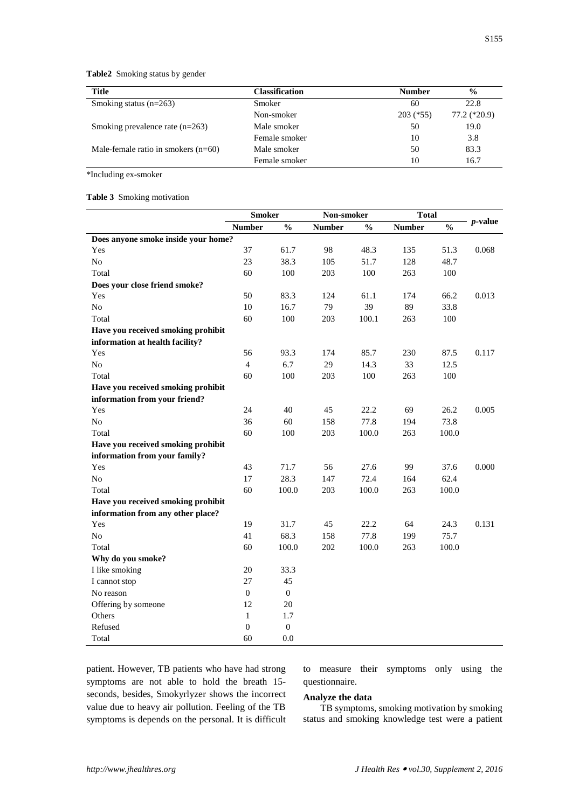**Table2** Smoking status by gender

| <b>Title</b>                          | <b>Classification</b> | <b>Number</b> | $\frac{0}{0}$ |
|---------------------------------------|-----------------------|---------------|---------------|
| Smoking status $(n=263)$              | Smoker                | 60            | 22.8          |
|                                       | Non-smoker            | $203$ (*55)   | 77.2 (*20.9)  |
| Smoking prevalence rate $(n=263)$     | Male smoker           | 50            | 19.0          |
|                                       | Female smoker         | 10            | 3.8           |
| Male-female ratio in smokers $(n=60)$ | Male smoker           | 50            | 83.3          |
|                                       | Female smoker         | 10            | 16.7          |

\*Including ex-smoker

**Table 3** Smoking motivation

|                                     | <b>Smoker</b>    |                  | Non-smoker    |               | <b>Total</b>  |               | $p$ -value |
|-------------------------------------|------------------|------------------|---------------|---------------|---------------|---------------|------------|
|                                     | <b>Number</b>    | $\frac{0}{0}$    | <b>Number</b> | $\frac{0}{0}$ | <b>Number</b> | $\frac{0}{0}$ |            |
| Does anyone smoke inside your home? |                  |                  |               |               |               |               |            |
| Yes                                 | 37               | 61.7             | 98            | 48.3          | 135           | 51.3          | 0.068      |
| No                                  | 23               | 38.3             | 105           | 51.7          | 128           | 48.7          |            |
| Total                               | 60               | 100              | 203           | 100           | 263           | 100           |            |
| Does your close friend smoke?       |                  |                  |               |               |               |               |            |
| Yes                                 | 50               | 83.3             | 124           | 61.1          | 174           | 66.2          | 0.013      |
| N <sub>o</sub>                      | 10               | 16.7             | 79            | 39            | 89            | 33.8          |            |
| Total                               | 60               | 100              | 203           | 100.1         | 263           | 100           |            |
| Have you received smoking prohibit  |                  |                  |               |               |               |               |            |
| information at health facility?     |                  |                  |               |               |               |               |            |
| Yes                                 | 56               | 93.3             | 174           | 85.7          | 230           | 87.5          | 0.117      |
| N <sub>o</sub>                      | $\overline{4}$   | 6.7              | 29            | 14.3          | 33            | 12.5          |            |
| Total                               | 60               | 100              | 203           | 100           | 263           | 100           |            |
| Have you received smoking prohibit  |                  |                  |               |               |               |               |            |
| information from your friend?       |                  |                  |               |               |               |               |            |
| Yes                                 | 24               | 40               | 45            | 22.2          | 69            | 26.2          | 0.005      |
| N <sub>0</sub>                      | 36               | 60               | 158           | 77.8          | 194           | 73.8          |            |
| Total                               | 60               | 100              | 203           | 100.0         | 263           | 100.0         |            |
| Have you received smoking prohibit  |                  |                  |               |               |               |               |            |
| information from your family?       |                  |                  |               |               |               |               |            |
| Yes                                 | 43               | 71.7             | 56            | 27.6          | 99            | 37.6          | 0.000      |
| N <sub>o</sub>                      | 17               | 28.3             | 147           | 72.4          | 164           | 62.4          |            |
| Total                               | 60               | 100.0            | 203           | 100.0         | 263           | 100.0         |            |
| Have you received smoking prohibit  |                  |                  |               |               |               |               |            |
| information from any other place?   |                  |                  |               |               |               |               |            |
| Yes                                 | 19               | 31.7             | 45            | 22.2          | 64            | 24.3          | 0.131      |
| No                                  | 41               | 68.3             | 158           | 77.8          | 199           | 75.7          |            |
| Total                               | 60               | 100.0            | 202           | 100.0         | 263           | 100.0         |            |
| Why do you smoke?                   |                  |                  |               |               |               |               |            |
| I like smoking                      | 20               | 33.3             |               |               |               |               |            |
| I cannot stop                       | 27               | 45               |               |               |               |               |            |
| No reason                           | $\boldsymbol{0}$ | $\mathbf{0}$     |               |               |               |               |            |
| Offering by someone                 | 12               | 20               |               |               |               |               |            |
| Others                              | $\mathbf{1}$     | 1.7              |               |               |               |               |            |
| Refused                             | $\boldsymbol{0}$ | $\boldsymbol{0}$ |               |               |               |               |            |
| Total                               | 60               | 0.0              |               |               |               |               |            |

patient. However, TB patients who have had strong symptoms are not able to hold the breath 15 seconds, besides, Smokyrlyzer shows the incorrect value due to heavy air pollution. Feeling of the TB symptoms is depends on the personal. It is difficult to measure their symptoms only using the questionnaire.

# **Analyze the data**

TB symptoms, smoking motivation by smoking status and smoking knowledge test were a patient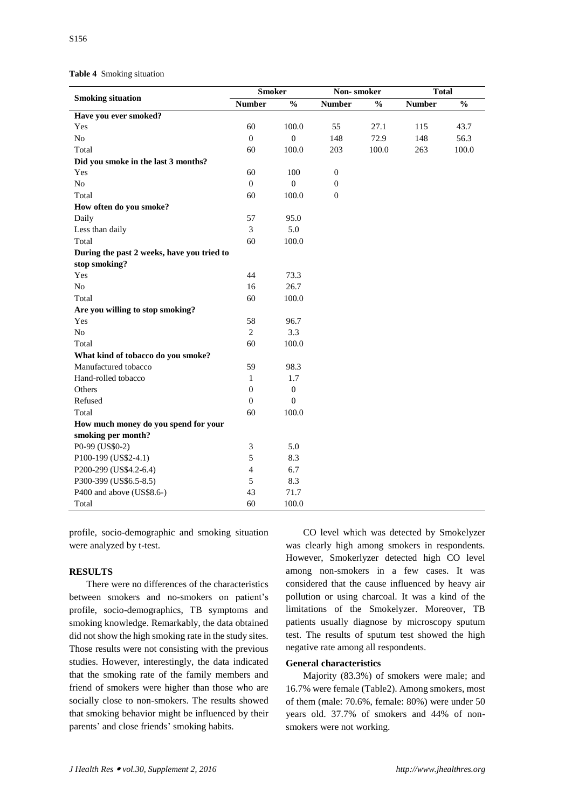**Table 4** Smoking situation

| <b>Smoking situation</b>                   | <b>Smoker</b>    |                  | Non-smoker    |               | <b>Total</b>  |                          |  |
|--------------------------------------------|------------------|------------------|---------------|---------------|---------------|--------------------------|--|
|                                            | <b>Number</b>    | $\frac{0}{0}$    | <b>Number</b> | $\frac{0}{0}$ | <b>Number</b> | $\overline{\frac{0}{0}}$ |  |
| Have you ever smoked?                      |                  |                  |               |               |               |                          |  |
| Yes                                        | 60               | 100.0            | 55            | 27.1          | 115           | 43.7                     |  |
| N <sub>o</sub>                             | $\boldsymbol{0}$ | $\boldsymbol{0}$ | 148           | 72.9          | 148           | 56.3                     |  |
| Total                                      | 60               | 100.0            | 203           | 100.0         | 263           | 100.0                    |  |
| Did you smoke in the last 3 months?        |                  |                  |               |               |               |                          |  |
| Yes                                        | 60               | 100              | $\mathbf{0}$  |               |               |                          |  |
| N <sub>o</sub>                             | $\mathbf{0}$     | $\boldsymbol{0}$ | $\mathbf{0}$  |               |               |                          |  |
| Total                                      | 60               | 100.0            | $\mathbf{0}$  |               |               |                          |  |
| How often do you smoke?                    |                  |                  |               |               |               |                          |  |
| Daily                                      | 57               | 95.0             |               |               |               |                          |  |
| Less than daily                            | 3                | 5.0              |               |               |               |                          |  |
| Total                                      | 60               | 100.0            |               |               |               |                          |  |
| During the past 2 weeks, have you tried to |                  |                  |               |               |               |                          |  |
| stop smoking?                              |                  |                  |               |               |               |                          |  |
| Yes                                        | 44               | 73.3             |               |               |               |                          |  |
| N <sub>o</sub>                             | 16               | 26.7             |               |               |               |                          |  |
| Total                                      | 60               | 100.0            |               |               |               |                          |  |
| Are you willing to stop smoking?           |                  |                  |               |               |               |                          |  |
| Yes                                        | 58               | 96.7             |               |               |               |                          |  |
| N <sub>o</sub>                             | 2                | 3.3              |               |               |               |                          |  |
| Total                                      | 60               | 100.0            |               |               |               |                          |  |
| What kind of tobacco do you smoke?         |                  |                  |               |               |               |                          |  |
| Manufactured tobacco                       | 59               | 98.3             |               |               |               |                          |  |
| Hand-rolled tobacco                        | $\mathbf{1}$     | 1.7              |               |               |               |                          |  |
| Others                                     | $\mathbf{0}$     | $\boldsymbol{0}$ |               |               |               |                          |  |
| Refused                                    | $\mathbf{0}$     | $\boldsymbol{0}$ |               |               |               |                          |  |
| Total                                      | 60               | 100.0            |               |               |               |                          |  |
| How much money do you spend for your       |                  |                  |               |               |               |                          |  |
| smoking per month?                         |                  |                  |               |               |               |                          |  |
| P0-99 (US\$0-2)                            | 3                | 5.0              |               |               |               |                          |  |
| P100-199 (US\$2-4.1)                       | 5                | 8.3              |               |               |               |                          |  |
| P200-299 (US\$4.2-6.4)                     | $\overline{4}$   | 6.7              |               |               |               |                          |  |
| P300-399 (US\$6.5-8.5)                     | 5                | 8.3              |               |               |               |                          |  |
| P400 and above (US\$8.6-)                  | 43               | 71.7             |               |               |               |                          |  |
| Total                                      | 60               | 100.0            |               |               |               |                          |  |

profile, socio-demographic and smoking situation were analyzed by t-test.

# **RESULTS**

There were no differences of the characteristics between smokers and no-smokers on patient's profile, socio-demographics, TB symptoms and smoking knowledge. Remarkably, the data obtained did not show the high smoking rate in the study sites. Those results were not consisting with the previous studies. However, interestingly, the data indicated that the smoking rate of the family members and friend of smokers were higher than those who are socially close to non-smokers. The results showed that smoking behavior might be influenced by their parents' and close friends' smoking habits.

CO level which was detected by Smokelyzer was clearly high among smokers in respondents. However, Smokerlyzer detected high CO level among non-smokers in a few cases. It was considered that the cause influenced by heavy air pollution or using charcoal. It was a kind of the limitations of the Smokelyzer. Moreover, TB patients usually diagnose by microscopy sputum test. The results of sputum test showed the high negative rate among all respondents.

#### **General characteristics**

Majority (83.3%) of smokers were male; and 16.7% were female (Table2). Among smokers, most of them (male: 70.6%, female: 80%) were under 50 years old. 37.7% of smokers and 44% of nonsmokers were not working.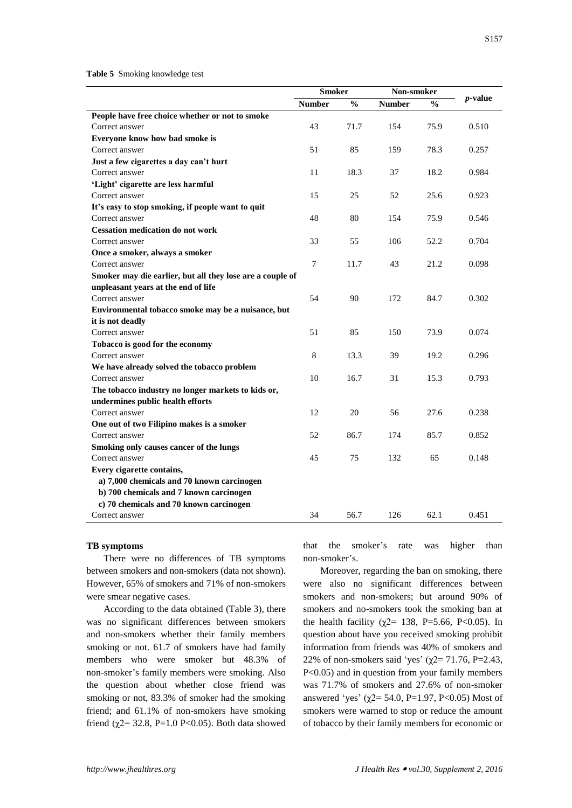#### **Table 5** Smoking knowledge test

|                                                           | <b>Smoker</b> |               | Non-smoker    |               |            |  |
|-----------------------------------------------------------|---------------|---------------|---------------|---------------|------------|--|
|                                                           | <b>Number</b> | $\frac{0}{0}$ | <b>Number</b> | $\frac{0}{0}$ | $p$ -value |  |
| People have free choice whether or not to smoke           |               |               |               |               |            |  |
| Correct answer                                            | 43            | 71.7          | 154           | 75.9          | 0.510      |  |
| Everyone know how bad smoke is                            |               |               |               |               |            |  |
| Correct answer                                            | 51            | 85            | 159           | 78.3          | 0.257      |  |
| Just a few cigarettes a day can't hurt                    |               |               |               |               |            |  |
| Correct answer                                            | 11            | 18.3          | 37            | 18.2          | 0.984      |  |
| 'Light' cigarette are less harmful                        |               |               |               |               |            |  |
| Correct answer                                            | 15            | 25            | 52            | 25.6          | 0.923      |  |
| It's easy to stop smoking, if people want to quit         |               |               |               |               |            |  |
| Correct answer                                            | 48            | 80            | 154           | 75.9          | 0.546      |  |
| <b>Cessation medication do not work</b>                   |               |               |               |               |            |  |
| Correct answer                                            | 33            | 55            | 106           | 52.2          | 0.704      |  |
| Once a smoker, always a smoker                            |               |               |               |               |            |  |
| Correct answer                                            | 7             | 11.7          | 43            | 21.2          | 0.098      |  |
| Smoker may die earlier, but all they lose are a couple of |               |               |               |               |            |  |
| unpleasant years at the end of life                       |               |               |               |               |            |  |
| Correct answer                                            | 54            | 90            | 172           | 84.7          | 0.302      |  |
| Environmental tobacco smoke may be a nuisance, but        |               |               |               |               |            |  |
| it is not deadly                                          |               |               |               |               |            |  |
| Correct answer                                            | 51            | 85            | 150           | 73.9          | 0.074      |  |
| Tobacco is good for the economy                           |               |               |               |               |            |  |
| Correct answer                                            | $\,8\,$       | 13.3          | 39            | 19.2          | 0.296      |  |
| We have already solved the tobacco problem                |               |               |               |               |            |  |
| Correct answer                                            | 10            | 16.7          | 31            | 15.3          | 0.793      |  |
| The tobacco industry no longer markets to kids or,        |               |               |               |               |            |  |
| undermines public health efforts                          |               |               |               |               |            |  |
| Correct answer                                            | 12            | 20            | 56            | 27.6          | 0.238      |  |
| One out of two Filipino makes is a smoker                 |               |               |               |               |            |  |
| Correct answer                                            | 52            | 86.7          | 174           | 85.7          | 0.852      |  |
| Smoking only causes cancer of the lungs                   |               |               |               |               |            |  |
| Correct answer                                            | 45            | 75            | 132           | 65            | 0.148      |  |
| Every cigarette contains,                                 |               |               |               |               |            |  |
| a) 7,000 chemicals and 70 known carcinogen                |               |               |               |               |            |  |
| b) 700 chemicals and 7 known carcinogen                   |               |               |               |               |            |  |
| c) 70 chemicals and 70 known carcinogen                   |               |               |               |               |            |  |
| Correct answer                                            | 34            | 56.7          | 126           | 62.1          | 0.451      |  |

#### **TB symptoms**

There were no differences of TB symptoms between smokers and non-smokers (data not shown). However, 65% of smokers and 71% of non-smokers were smear negative cases.

According to the data obtained (Table 3), there was no significant differences between smokers and non-smokers whether their family members smoking or not. 61.7 of smokers have had family members who were smoker but 48.3% of non-smoker's family members were smoking. Also the question about whether close friend was smoking or not, 83.3% of smoker had the smoking friend; and 61.1% of non-smokers have smoking friend ( $χ$ 2= 32.8, P=1.0 P<0.05). Both data showed

that the smoker's rate was higher than non-smoker's.

Moreover, regarding the ban on smoking, there were also no significant differences between smokers and non-smokers; but around 90% of smokers and no-smokers took the smoking ban at the health facility ( $\chi$ 2= 138, P=5.66, P<0.05). In question about have you received smoking prohibit information from friends was 40% of smokers and 22% of non-smokers said 'yes' ( $\chi$ 2= 71.76, P=2.43, P<0.05) and in question from your family members was 71.7% of smokers and 27.6% of non-smoker answered 'yes' ( $\chi$ 2= 54.0, P=1.97, P<0.05) Most of smokers were warned to stop or reduce the amount of tobacco by their family members for economic or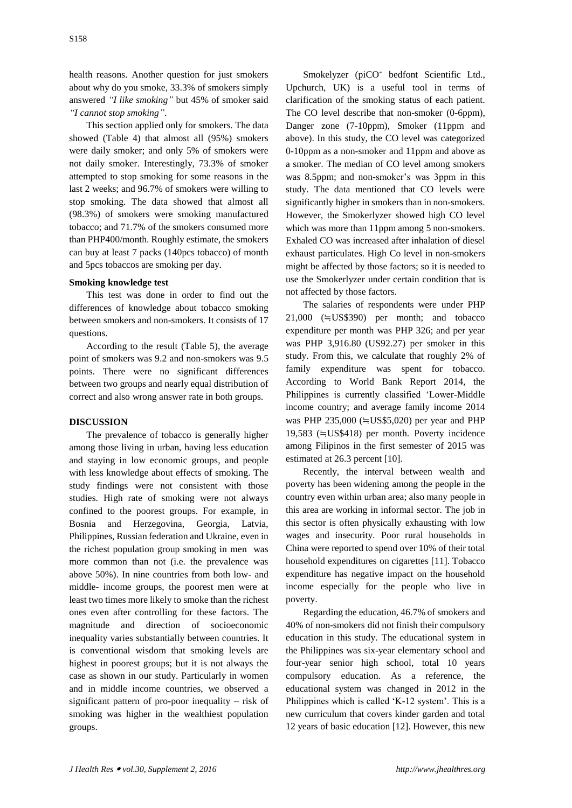health reasons. Another question for just smokers about why do you smoke, 33.3% of smokers simply answered *"I like smoking"* but 45% of smoker said *"I cannot stop smoking"*.

This section applied only for smokers. The data showed (Table 4) that almost all (95%) smokers were daily smoker; and only 5% of smokers were not daily smoker. Interestingly, 73.3% of smoker attempted to stop smoking for some reasons in the last 2 weeks; and 96.7% of smokers were willing to stop smoking. The data showed that almost all (98.3%) of smokers were smoking manufactured tobacco; and 71.7% of the smokers consumed more than PHP400/month. Roughly estimate, the smokers can buy at least 7 packs (140pcs tobacco) of month and 5pcs tobaccos are smoking per day.

## **Smoking knowledge test**

This test was done in order to find out the differences of knowledge about tobacco smoking between smokers and non-smokers. It consists of 17 questions.

According to the result (Table 5), the average point of smokers was 9.2 and non-smokers was 9.5 points. There were no significant differences between two groups and nearly equal distribution of correct and also wrong answer rate in both groups.

# **DISCUSSION**

The prevalence of tobacco is generally higher among those living in urban, having less education and staying in low economic groups, and people with less knowledge about effects of smoking. The study findings were not consistent with those studies. High rate of smoking were not always confined to the poorest groups. For example, in Bosnia and Herzegovina, Georgia, Latvia, Philippines, Russian federation and Ukraine, even in the richest population group smoking in men was more common than not (i.e. the prevalence was above 50%). In nine countries from both low- and middle- income groups, the poorest men were at least two times more likely to smoke than the richest ones even after controlling for these factors. The magnitude and direction of socioeconomic inequality varies substantially between countries. It is conventional wisdom that smoking levels are highest in poorest groups; but it is not always the case as shown in our study. Particularly in women and in middle income countries, we observed a significant pattern of pro-poor inequality – risk of smoking was higher in the wealthiest population groups.

Smokelyzer (piCO<sup>+</sup> bedfont Scientific Ltd., Upchurch, UK) is a useful tool in terms of clarification of the smoking status of each patient. The CO level describe that non-smoker (0-6ppm), Danger zone (7-10ppm), Smoker (11ppm and above). In this study, the CO level was categorized 0-10ppm as a non-smoker and 11ppm and above as a smoker. The median of CO level among smokers was 8.5ppm; and non-smoker's was 3ppm in this study. The data mentioned that CO levels were significantly higher in smokers than in non-smokers. However, the Smokerlyzer showed high CO level which was more than 11ppm among 5 non-smokers. Exhaled CO was increased after inhalation of diesel exhaust particulates. High Co level in non-smokers might be affected by those factors; so it is needed to use the Smokerlyzer under certain condition that is not affected by those factors.

The salaries of respondents were under PHP 21,000 (≒US\$390) per month; and tobacco expenditure per month was PHP 326; and per year was PHP 3,916.80 (US92.27) per smoker in this study. From this, we calculate that roughly 2% of family expenditure was spent for tobacco. According to World Bank Report 2014, the Philippines is currently classified 'Lower-Middle income country; and average family income 2014 was PHP 235,000 (≒US\$5,020) per year and PHP 19,583 (≒US\$418) per month. Poverty incidence among Filipinos in the first semester of 2015 was estimated at 26.3 percent [10].

Recently, the interval between wealth and poverty has been widening among the people in the country even within urban area; also many people in this area are working in informal sector. The job in this sector is often physically exhausting with low wages and insecurity. Poor rural households in China were reported to spend over 10% of their total household expenditures on cigarettes [11]. Tobacco expenditure has negative impact on the household income especially for the people who live in poverty.

Regarding the education, 46.7% of smokers and 40% of non-smokers did not finish their compulsory education in this study. The educational system in the Philippines was six-year elementary school and four-year senior high school, total 10 years compulsory education. As a reference, the educational system was changed in 2012 in the Philippines which is called 'K-12 system'. This is a new curriculum that covers kinder garden and total 12 years of basic education [12]. However, this new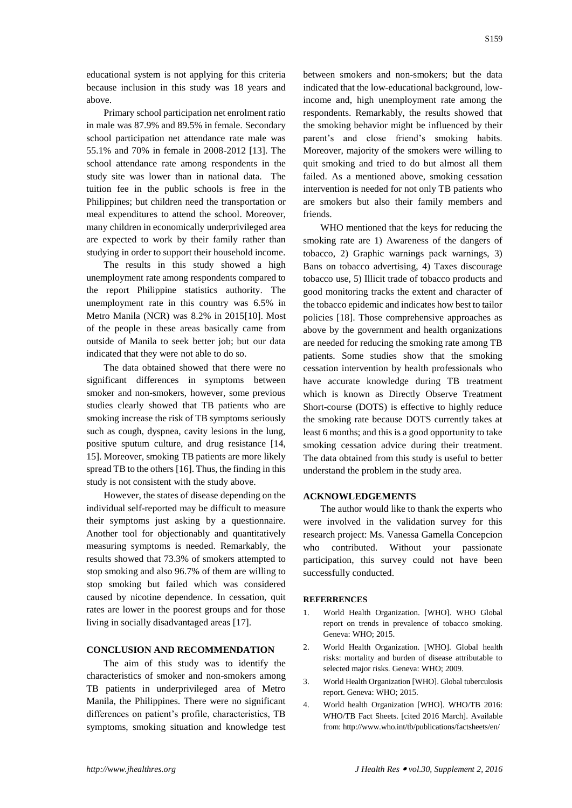educational system is not applying for this criteria because inclusion in this study was 18 years and above.

Primary school participation net enrolment ratio in male was 87.9% and 89.5% in female. Secondary school participation net attendance rate male was 55.1% and 70% in female in 2008-2012 [13]. The school attendance rate among respondents in the study site was lower than in national data. The tuition fee in the public schools is free in the Philippines; but children need the transportation or meal expenditures to attend the school. Moreover, many children in economically underprivileged area are expected to work by their family rather than studying in order to support their household income.

The results in this study showed a high unemployment rate among respondents compared to the report Philippine statistics authority. The unemployment rate in this country was 6.5% in Metro Manila (NCR) was 8.2% in 2015[10]. Most of the people in these areas basically came from outside of Manila to seek better job; but our data indicated that they were not able to do so.

The data obtained showed that there were no significant differences in symptoms between smoker and non-smokers, however, some previous studies clearly showed that TB patients who are smoking increase the risk of TB symptoms seriously such as cough, dyspnea, cavity lesions in the lung, positive sputum culture, and drug resistance [14, 15]. Moreover, smoking TB patients are more likely spread TB to the others [16]. Thus, the finding in this study is not consistent with the study above.

However, the states of disease depending on the individual self-reported may be difficult to measure their symptoms just asking by a questionnaire. Another tool for objectionably and quantitatively measuring symptoms is needed. Remarkably, the results showed that 73.3% of smokers attempted to stop smoking and also 96.7% of them are willing to stop smoking but failed which was considered caused by nicotine dependence. In cessation, quit rates are lower in the poorest groups and for those living in socially disadvantaged areas [17].

#### **CONCLUSION AND RECOMMENDATION**

The aim of this study was to identify the characteristics of smoker and non-smokers among TB patients in underprivileged area of Metro Manila, the Philippines. There were no significant differences on patient's profile, characteristics, TB symptoms, smoking situation and knowledge test

between smokers and non-smokers; but the data indicated that the low-educational background, lowincome and, high unemployment rate among the respondents. Remarkably, the results showed that the smoking behavior might be influenced by their parent's and close friend's smoking habits. Moreover, majority of the smokers were willing to quit smoking and tried to do but almost all them failed. As a mentioned above, smoking cessation intervention is needed for not only TB patients who are smokers but also their family members and friends.

WHO mentioned that the keys for reducing the smoking rate are 1) Awareness of the dangers of tobacco, 2) Graphic warnings pack warnings, 3) Bans on tobacco advertising, 4) Taxes discourage tobacco use, 5) Illicit trade of tobacco products and good monitoring tracks the extent and character of the tobacco epidemic and indicates how best to tailor policies [18]. Those comprehensive approaches as above by the government and health organizations are needed for reducing the smoking rate among TB patients. Some studies show that the smoking cessation intervention by health professionals who have accurate knowledge during TB treatment which is known as Directly Observe Treatment Short-course (DOTS) is effective to highly reduce the smoking rate because DOTS currently takes at least 6 months; and this is a good opportunity to take smoking cessation advice during their treatment. The data obtained from this study is useful to better understand the problem in the study area.

#### **ACKNOWLEDGEMENTS**

The author would like to thank the experts who were involved in the validation survey for this research project: Ms. Vanessa Gamella Concepcion who contributed. Without your passionate participation, this survey could not have been successfully conducted.

### **REFERRENCES**

- 1. World Health Organization. [WHO]. WHO Global report on trends in prevalence of tobacco smoking. Geneva: WHO; 2015.
- 2. World Health Organization. [WHO]. Global health risks: mortality and burden of disease attributable to selected major risks. Geneva: WHO; 2009.
- 3. World Health Organization [WHO]. Global tuberculosis report. Geneva: WHO; 2015.
- 4. World health Organization [WHO]. WHO/TB 2016: WHO/TB Fact Sheets. [cited 2016 March]. Available from: http://www.who.int/tb/publications/factsheets/en/